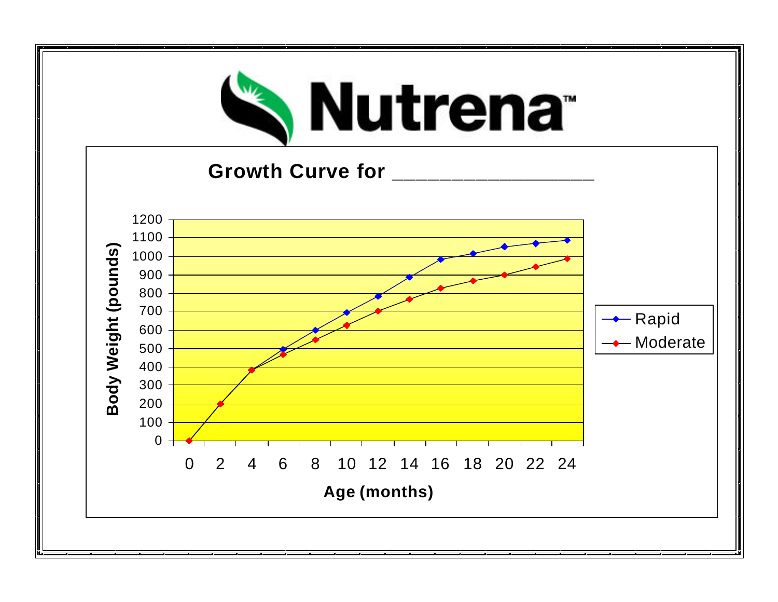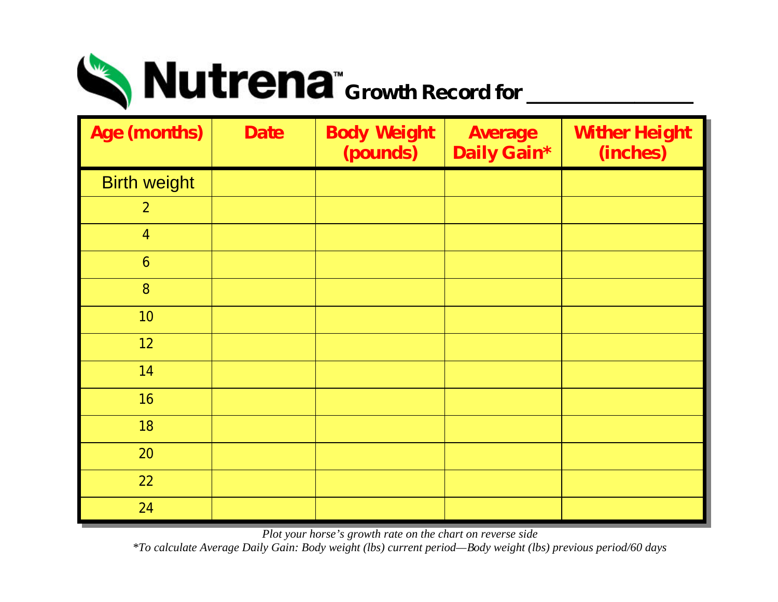

| <b>Age (months)</b>     | <b>Date</b> | <b>Body Weight</b><br><i>(pounds)</i> | <b>Average</b><br><b>Daily Gain*</b> | <b>Wither Height</b><br>(inches) |
|-------------------------|-------------|---------------------------------------|--------------------------------------|----------------------------------|
| <b>Birth weight</b>     |             |                                       |                                      |                                  |
| $\boldsymbol{2}$        |             |                                       |                                      |                                  |
| $\overline{\mathbf{4}}$ |             |                                       |                                      |                                  |
| $\boldsymbol{6}$        |             |                                       |                                      |                                  |
| 8                       |             |                                       |                                      |                                  |
| 10                      |             |                                       |                                      |                                  |
| 12                      |             |                                       |                                      |                                  |
| 14                      |             |                                       |                                      |                                  |
| 16                      |             |                                       |                                      |                                  |
| 18                      |             |                                       |                                      |                                  |
| 20                      |             |                                       |                                      |                                  |
| 22                      |             |                                       |                                      |                                  |
| 24                      |             |                                       |                                      |                                  |

*Plot your horse's growth rate on the chart on reverse side* 

*\*To calculate Average Daily Gain: Body weight (lbs) current period—Body weight (lbs) previous period/60 days*